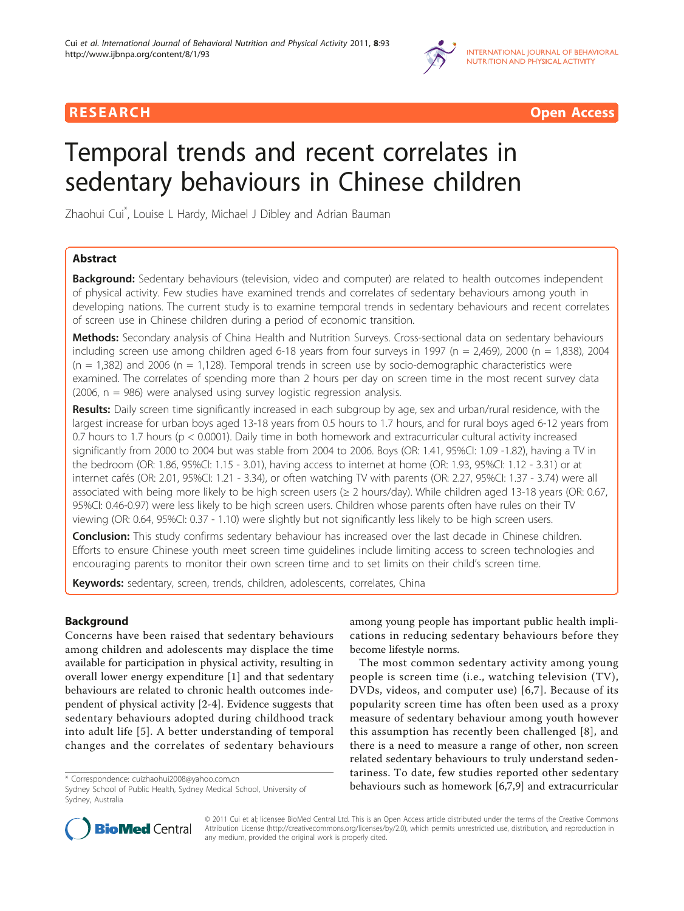

R E S EARCH Open Access

# Temporal trends and recent correlates in sedentary behaviours in Chinese children

Zhaohui Cui\* , Louise L Hardy, Michael J Dibley and Adrian Bauman

# Abstract

**Background:** Sedentary behaviours (television, video and computer) are related to health outcomes independent of physical activity. Few studies have examined trends and correlates of sedentary behaviours among youth in developing nations. The current study is to examine temporal trends in sedentary behaviours and recent correlates of screen use in Chinese children during a period of economic transition.

Methods: Secondary analysis of China Health and Nutrition Surveys. Cross-sectional data on sedentary behaviours including screen use among children aged 6-18 years from four surveys in 1997 ( $n = 2,469$ ), 2000 ( $n = 1,838$ ), 2004  $(n = 1,382)$  and 2006  $(n = 1,128)$ . Temporal trends in screen use by socio-demographic characteristics were examined. The correlates of spending more than 2 hours per day on screen time in the most recent survey data (2006, n = 986) were analysed using survey logistic regression analysis.

Results: Daily screen time significantly increased in each subgroup by age, sex and urban/rural residence, with the largest increase for urban boys aged 13-18 years from 0.5 hours to 1.7 hours, and for rural boys aged 6-12 years from 0.7 hours to 1.7 hours (p < 0.0001). Daily time in both homework and extracurricular cultural activity increased significantly from 2000 to 2004 but was stable from 2004 to 2006. Boys (OR: 1.41, 95%CI: 1.09 -1.82), having a TV in the bedroom (OR: 1.86, 95%CI: 1.15 - 3.01), having access to internet at home (OR: 1.93, 95%CI: 1.12 - 3.31) or at internet cafés (OR: 2.01, 95%CI: 1.21 - 3.34), or often watching TV with parents (OR: 2.27, 95%CI: 1.37 - 3.74) were all associated with being more likely to be high screen users (≥ 2 hours/day). While children aged 13-18 years (OR: 0.67, 95%CI: 0.46-0.97) were less likely to be high screen users. Children whose parents often have rules on their TV viewing (OR: 0.64, 95%CI: 0.37 - 1.10) were slightly but not significantly less likely to be high screen users.

**Conclusion:** This study confirms sedentary behaviour has increased over the last decade in Chinese children. Efforts to ensure Chinese youth meet screen time guidelines include limiting access to screen technologies and encouraging parents to monitor their own screen time and to set limits on their child's screen time.

Keywords: sedentary, screen, trends, children, adolescents, correlates, China

# Background

Concerns have been raised that sedentary behaviours among children and adolescents may displace the time available for participation in physical activity, resulting in overall lower energy expenditure [\[1](#page-6-0)] and that sedentary behaviours are related to chronic health outcomes independent of physical activity [[2-4](#page-6-0)]. Evidence suggests that sedentary behaviours adopted during childhood track into adult life [[5](#page-6-0)]. A better understanding of temporal changes and the correlates of sedentary behaviours

among young people has important public health implications in reducing sedentary behaviours before they become lifestyle norms.

The most common sedentary activity among young people is screen time (i.e., watching television (TV), DVDs, videos, and computer use) [\[6,7](#page-6-0)]. Because of its popularity screen time has often been used as a proxy measure of sedentary behaviour among youth however this assumption has recently been challenged [[8\]](#page-6-0), and there is a need to measure a range of other, non screen related sedentary behaviours to truly understand sedentariness. To date, few studies reported other sedentary \* Correspondence: [cuizhaohui2008@yahoo.com.cn](mailto:cuizhaohui2008@yahoo.com.cn)<br>Sydney School of Public Health Sydney Medical School University of **behaviours such as homework [[6,7,9\]](#page-6-0) and extracurricular** 



© 2011 Cui et al; licensee BioMed Central Ltd. This is an Open Access article distributed under the terms of the Creative Commons Attribution License [\(http://creativecommons.org/licenses/by/2.0](http://creativecommons.org/licenses/by/2.0)), which permits unrestricted use, distribution, and reproduction in any medium, provided the original work is properly cited.

Sydney School of Public Health, Sydney Medical School, University of Sydney, Australia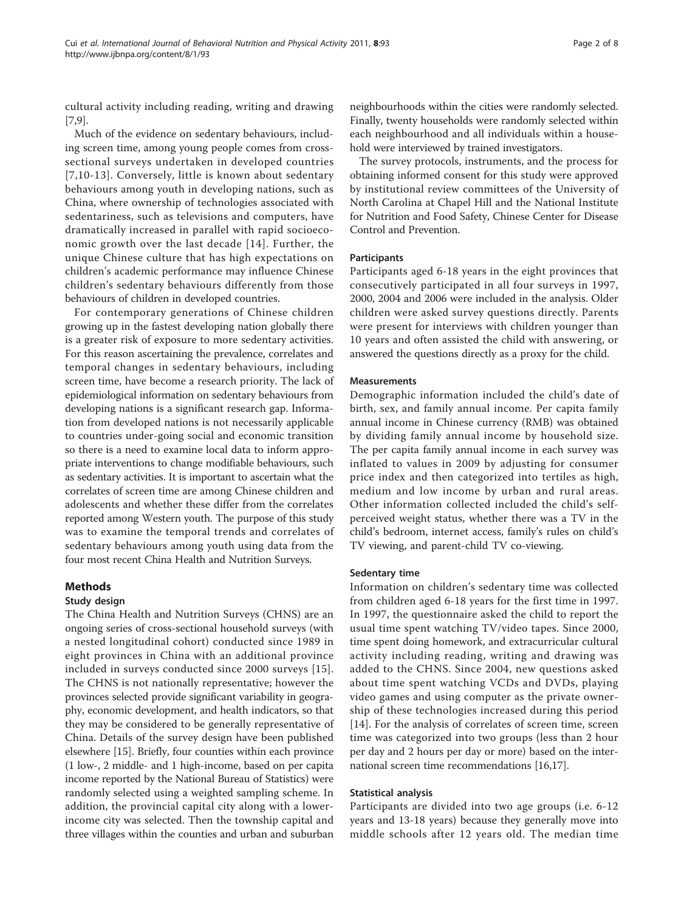cultural activity including reading, writing and drawing [[7,9\]](#page-6-0).

Much of the evidence on sedentary behaviours, including screen time, among young people comes from crosssectional surveys undertaken in developed countries [[7](#page-6-0),[10](#page-6-0)-[13\]](#page-7-0). Conversely, little is known about sedentary behaviours among youth in developing nations, such as China, where ownership of technologies associated with sedentariness, such as televisions and computers, have dramatically increased in parallel with rapid socioeconomic growth over the last decade [[14](#page-7-0)]. Further, the unique Chinese culture that has high expectations on children's academic performance may influence Chinese children's sedentary behaviours differently from those behaviours of children in developed countries.

For contemporary generations of Chinese children growing up in the fastest developing nation globally there is a greater risk of exposure to more sedentary activities. For this reason ascertaining the prevalence, correlates and temporal changes in sedentary behaviours, including screen time, have become a research priority. The lack of epidemiological information on sedentary behaviours from developing nations is a significant research gap. Information from developed nations is not necessarily applicable to countries under-going social and economic transition so there is a need to examine local data to inform appropriate interventions to change modifiable behaviours, such as sedentary activities. It is important to ascertain what the correlates of screen time are among Chinese children and adolescents and whether these differ from the correlates reported among Western youth. The purpose of this study was to examine the temporal trends and correlates of sedentary behaviours among youth using data from the four most recent China Health and Nutrition Surveys.

# Methods

#### Study design

The China Health and Nutrition Surveys (CHNS) are an ongoing series of cross-sectional household surveys (with a nested longitudinal cohort) conducted since 1989 in eight provinces in China with an additional province included in surveys conducted since 2000 surveys [[15](#page-7-0)]. The CHNS is not nationally representative; however the provinces selected provide significant variability in geography, economic development, and health indicators, so that they may be considered to be generally representative of China. Details of the survey design have been published elsewhere [[15\]](#page-7-0). Briefly, four counties within each province (1 low-, 2 middle- and 1 high-income, based on per capita income reported by the National Bureau of Statistics) were randomly selected using a weighted sampling scheme. In addition, the provincial capital city along with a lowerincome city was selected. Then the township capital and three villages within the counties and urban and suburban

neighbourhoods within the cities were randomly selected. Finally, twenty households were randomly selected within each neighbourhood and all individuals within a household were interviewed by trained investigators.

The survey protocols, instruments, and the process for obtaining informed consent for this study were approved by institutional review committees of the University of North Carolina at Chapel Hill and the National Institute for Nutrition and Food Safety, Chinese Center for Disease Control and Prevention.

#### Participants

Participants aged 6-18 years in the eight provinces that consecutively participated in all four surveys in 1997, 2000, 2004 and 2006 were included in the analysis. Older children were asked survey questions directly. Parents were present for interviews with children younger than 10 years and often assisted the child with answering, or answered the questions directly as a proxy for the child.

#### Measurements

Demographic information included the child's date of birth, sex, and family annual income. Per capita family annual income in Chinese currency (RMB) was obtained by dividing family annual income by household size. The per capita family annual income in each survey was inflated to values in 2009 by adjusting for consumer price index and then categorized into tertiles as high, medium and low income by urban and rural areas. Other information collected included the child's selfperceived weight status, whether there was a TV in the child's bedroom, internet access, family's rules on child's TV viewing, and parent-child TV co-viewing.

#### Sedentary time

Information on children's sedentary time was collected from children aged 6-18 years for the first time in 1997. In 1997, the questionnaire asked the child to report the usual time spent watching TV/video tapes. Since 2000, time spent doing homework, and extracurricular cultural activity including reading, writing and drawing was added to the CHNS. Since 2004, new questions asked about time spent watching VCDs and DVDs, playing video games and using computer as the private ownership of these technologies increased during this period [[14\]](#page-7-0). For the analysis of correlates of screen time, screen time was categorized into two groups (less than 2 hour per day and 2 hours per day or more) based on the international screen time recommendations [[16,17](#page-7-0)].

#### Statistical analysis

Participants are divided into two age groups (i.e. 6-12 years and 13-18 years) because they generally move into middle schools after 12 years old. The median time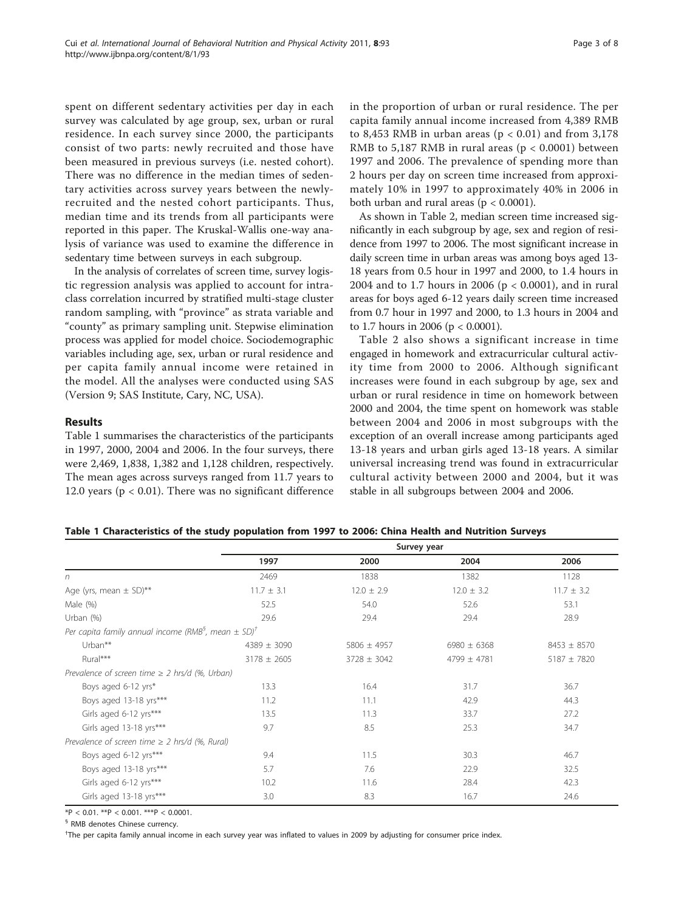spent on different sedentary activities per day in each survey was calculated by age group, sex, urban or rural residence. In each survey since 2000, the participants consist of two parts: newly recruited and those have been measured in previous surveys (i.e. nested cohort). There was no difference in the median times of sedentary activities across survey years between the newlyrecruited and the nested cohort participants. Thus,

median time and its trends from all participants were reported in this paper. The Kruskal-Wallis one-way analysis of variance was used to examine the difference in sedentary time between surveys in each subgroup.

In the analysis of correlates of screen time, survey logistic regression analysis was applied to account for intraclass correlation incurred by stratified multi-stage cluster random sampling, with "province" as strata variable and "county" as primary sampling unit. Stepwise elimination process was applied for model choice. Sociodemographic variables including age, sex, urban or rural residence and per capita family annual income were retained in the model. All the analyses were conducted using SAS (Version 9; SAS Institute, Cary, NC, USA).

#### Results

Table 1 summarises the characteristics of the participants in 1997, 2000, 2004 and 2006. In the four surveys, there were 2,469, 1,838, 1,382 and 1,128 children, respectively. The mean ages across surveys ranged from 11.7 years to 12.0 years ( $p < 0.01$ ). There was no significant difference in the proportion of urban or rural residence. The per capita family annual income increased from 4,389 RMB to 8,453 RMB in urban areas ( $p < 0.01$ ) and from 3,178 RMB to 5,187 RMB in rural areas ( $p < 0.0001$ ) between 1997 and 2006. The prevalence of spending more than 2 hours per day on screen time increased from approximately 10% in 1997 to approximately 40% in 2006 in both urban and rural areas ( $p < 0.0001$ ).

As shown in Table [2](#page-3-0), median screen time increased significantly in each subgroup by age, sex and region of residence from 1997 to 2006. The most significant increase in daily screen time in urban areas was among boys aged 13- 18 years from 0.5 hour in 1997 and 2000, to 1.4 hours in 2004 and to 1.7 hours in 2006 (p < 0.0001), and in rural areas for boys aged 6-12 years daily screen time increased from 0.7 hour in 1997 and 2000, to 1.3 hours in 2004 and to 1.7 hours in 2006 (p < 0.0001).

Table [2](#page-3-0) also shows a significant increase in time engaged in homework and extracurricular cultural activity time from 2000 to 2006. Although significant increases were found in each subgroup by age, sex and urban or rural residence in time on homework between 2000 and 2004, the time spent on homework was stable between 2004 and 2006 in most subgroups with the exception of an overall increase among participants aged 13-18 years and urban girls aged 13-18 years. A similar universal increasing trend was found in extracurricular cultural activity between 2000 and 2004, but it was stable in all subgroups between 2004 and 2006.

#### Table 1 Characteristics of the study population from 1997 to 2006: China Health and Nutrition Surveys

|                                                                                 | Survey year     |                 |                 |                 |  |  |
|---------------------------------------------------------------------------------|-----------------|-----------------|-----------------|-----------------|--|--|
|                                                                                 | 1997            | 2000            | 2004            | 2006            |  |  |
| n                                                                               | 2469            | 1838            | 1382            | 1128            |  |  |
| Age (yrs, mean $\pm$ SD)**                                                      | $11.7 \pm 3.1$  | $12.0 \pm 2.9$  | $12.0 \pm 3.2$  | $11.7 \pm 3.2$  |  |  |
| Male $(\%)$                                                                     | 52.5            | 54.0            | 52.6            | 53.1            |  |  |
| Urban (%)                                                                       | 29.6            | 29.4            | 29.4            | 28.9            |  |  |
| Per capita family annual income (RMB <sup>§</sup> , mean $\pm$ SD) <sup>†</sup> |                 |                 |                 |                 |  |  |
| Urban**                                                                         | $4389 \pm 3090$ | $5806 \pm 4957$ | $6980 \pm 6368$ | $8453 \pm 8570$ |  |  |
| Rural***                                                                        | $3178 \pm 2605$ | $3728 \pm 3042$ | 4799 $\pm$ 4781 | $5187 \pm 7820$ |  |  |
| Prevalence of screen time $\geq$ 2 hrs/d (%, Urban)                             |                 |                 |                 |                 |  |  |
| Boys aged 6-12 yrs*                                                             | 13.3            | 16.4            | 31.7            | 36.7            |  |  |
| Boys aged 13-18 yrs***                                                          | 11.2            | 11.1            | 42.9            | 44.3            |  |  |
| Girls aged 6-12 yrs***                                                          | 13.5            | 11.3<br>33.7    |                 | 27.2            |  |  |
| Girls aged 13-18 yrs***                                                         | 9.7             | 8.5             | 25.3            | 34.7            |  |  |
| Prevalence of screen time $\geq$ 2 hrs/d (%, Rural)                             |                 |                 |                 |                 |  |  |
| Boys aged 6-12 yrs***                                                           | 9.4             | 11.5            | 30.3            | 46.7            |  |  |
| Boys aged 13-18 yrs***                                                          | 5.7             | 7.6             | 22.9            | 32.5            |  |  |
| Girls aged 6-12 yrs***                                                          | 10.2            | 11.6            | 28.4            | 42.3            |  |  |
| Girls aged 13-18 yrs***                                                         | 3.0             | 8.3             | 16.7            | 24.6            |  |  |

 $*P < 0.01$ .  $*P < 0.001$ .  $**P < 0.0001$ 

§ RMB denotes Chinese currency.

† The per capita family annual income in each survey year was inflated to values in 2009 by adjusting for consumer price index.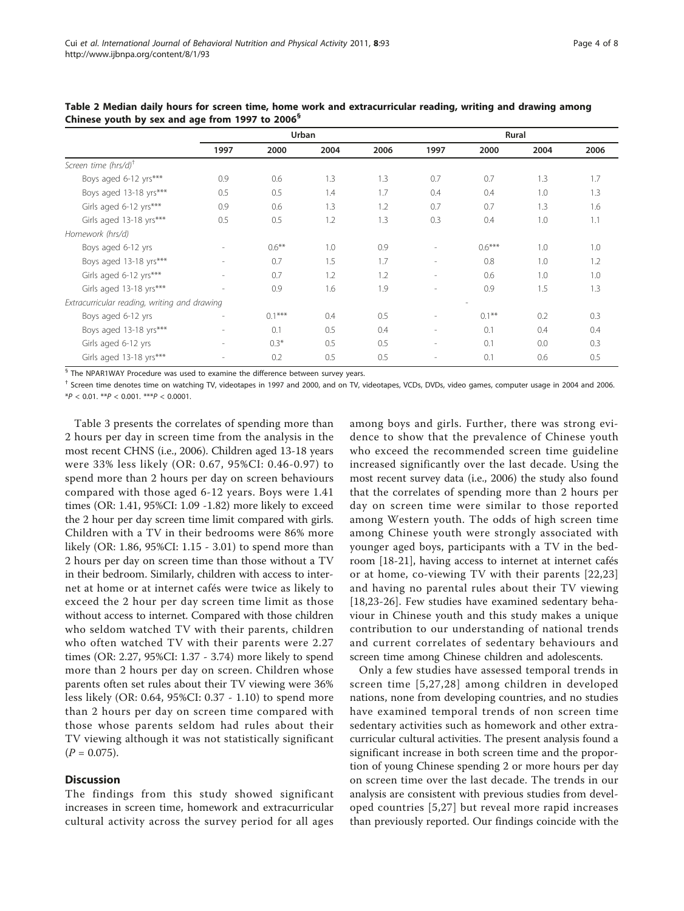|                                              |                          | Urban    |      |      | Rural                    |          |      |      |
|----------------------------------------------|--------------------------|----------|------|------|--------------------------|----------|------|------|
|                                              | 1997                     | 2000     | 2004 | 2006 | 1997                     | 2000     | 2004 | 2006 |
| Screen time (hrs/d) <sup>+</sup>             |                          |          |      |      |                          |          |      |      |
| Boys aged 6-12 yrs***                        | 0.9                      | 0.6      | 1.3  | 1.3  | 0.7                      | 0.7      | 1.3  | 1.7  |
| Boys aged 13-18 yrs***                       | 0.5                      | 0.5      | 1.4  | 1.7  | 0.4                      | 0.4      | 1.0  | 1.3  |
| Girls aged 6-12 yrs***                       | 0.9                      | 0.6      | 1.3  | 1.2  | 0.7                      | 0.7      | 1.3  | 1.6  |
| Girls aged 13-18 yrs***                      | 0.5                      | 0.5      | 1.2  | 1.3  | 0.3                      | 0.4      | 1.0  | 1.1  |
| Homework (hrs/d)                             |                          |          |      |      |                          |          |      |      |
| Boys aged 6-12 yrs                           |                          | $0.6***$ | 1.0  | 0.9  | $\overline{\phantom{a}}$ | $0.6***$ | 1.0  | 1.0  |
| Boys aged 13-18 yrs***                       | $\overline{\phantom{a}}$ | 0.7      | 1.5  | 1.7  | $\overline{\phantom{a}}$ | 0.8      | 1.0  | 1.2  |
| Girls aged 6-12 yrs***                       | $\overline{\phantom{a}}$ | 0.7      | 1.2  | 1.2  | $\overline{\phantom{a}}$ | 0.6      | 1.0  | 1.0  |
| Girls aged 13-18 yrs***                      | $\overline{\phantom{a}}$ | 0.9      | 1.6  | 1.9  | $\overline{\phantom{0}}$ | 0.9      | 1.5  | 1.3  |
| Extracurricular reading, writing and drawing |                          |          |      |      |                          |          |      |      |
| Boys aged 6-12 yrs                           |                          | $0.1***$ | 0.4  | 0.5  | $\overline{\phantom{a}}$ | $0.1***$ | 0.2  | 0.3  |
| Boys aged 13-18 yrs***                       |                          | 0.1      | 0.5  | 0.4  | $\overline{\phantom{a}}$ | 0.1      | 0.4  | 0.4  |
| Girls aged 6-12 yrs                          | $\overline{\phantom{a}}$ | $0.3*$   | 0.5  | 0.5  | $\overline{\phantom{a}}$ | 0.1      | 0.0  | 0.3  |
| Girls aged 13-18 yrs***                      | $\overline{\phantom{a}}$ | 0.2      | 0.5  | 0.5  | $\overline{a}$           | 0.1      | 0.6  | 0.5  |

<span id="page-3-0"></span>Table 2 Median daily hours for screen time, home work and extracurricular reading, writing and drawing among Chinese youth by sex and age from 1997 to 2006§

§ The NPAR1WAY Procedure was used to examine the difference between survey years.

† Screen time denotes time on watching TV, videotapes in 1997 and 2000, and on TV, videotapes, VCDs, DVDs, video games, computer usage in 2004 and 2006.  $*P < 0.01$ .  $*P < 0.001$ .  $*P < 0.0001$ .

Table [3](#page-4-0) presents the correlates of spending more than 2 hours per day in screen time from the analysis in the most recent CHNS (i.e., 2006). Children aged 13-18 years were 33% less likely (OR: 0.67, 95%CI: 0.46-0.97) to spend more than 2 hours per day on screen behaviours compared with those aged 6-12 years. Boys were 1.41 times (OR: 1.41, 95%CI: 1.09 -1.82) more likely to exceed the 2 hour per day screen time limit compared with girls. Children with a TV in their bedrooms were 86% more likely (OR: 1.86, 95%CI: 1.15 - 3.01) to spend more than 2 hours per day on screen time than those without a TV in their bedroom. Similarly, children with access to internet at home or at internet cafés were twice as likely to exceed the 2 hour per day screen time limit as those without access to internet. Compared with those children who seldom watched TV with their parents, children who often watched TV with their parents were 2.27 times (OR: 2.27, 95%CI: 1.37 - 3.74) more likely to spend more than 2 hours per day on screen. Children whose parents often set rules about their TV viewing were 36% less likely (OR: 0.64, 95%CI: 0.37 - 1.10) to spend more than 2 hours per day on screen time compared with those whose parents seldom had rules about their TV viewing although it was not statistically significant  $(P = 0.075)$ .

## **Discussion**

The findings from this study showed significant increases in screen time, homework and extracurricular cultural activity across the survey period for all ages among boys and girls. Further, there was strong evidence to show that the prevalence of Chinese youth who exceed the recommended screen time guideline increased significantly over the last decade. Using the most recent survey data (i.e., 2006) the study also found that the correlates of spending more than 2 hours per day on screen time were similar to those reported among Western youth. The odds of high screen time among Chinese youth were strongly associated with younger aged boys, participants with a TV in the bedroom [\[18](#page-7-0)-[21\]](#page-7-0), having access to internet at internet cafés or at home, co-viewing TV with their parents [[22,23](#page-7-0)] and having no parental rules about their TV viewing [[18,23](#page-7-0)-[26](#page-7-0)]. Few studies have examined sedentary behaviour in Chinese youth and this study makes a unique contribution to our understanding of national trends and current correlates of sedentary behaviours and screen time among Chinese children and adolescents.

Only a few studies have assessed temporal trends in screen time [[5,](#page-6-0)[27](#page-7-0),[28\]](#page-7-0) among children in developed nations, none from developing countries, and no studies have examined temporal trends of non screen time sedentary activities such as homework and other extracurricular cultural activities. The present analysis found a significant increase in both screen time and the proportion of young Chinese spending 2 or more hours per day on screen time over the last decade. The trends in our analysis are consistent with previous studies from developed countries [\[5,](#page-6-0)[27\]](#page-7-0) but reveal more rapid increases than previously reported. Our findings coincide with the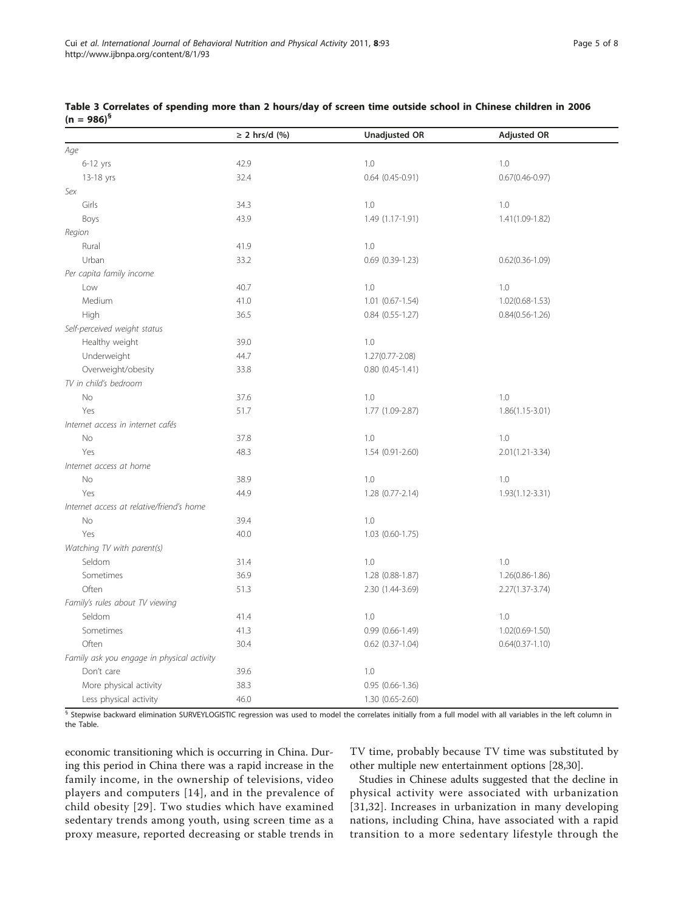|                                            | $\geq$ 2 hrs/d (%) | <b>Unadjusted OR</b>   | <b>Adjusted OR</b>  |
|--------------------------------------------|--------------------|------------------------|---------------------|
| Age                                        |                    |                        |                     |
| 6-12 yrs                                   | 42.9               | 1.0                    | 1.0                 |
| 13-18 yrs                                  | 32.4               | $0.64$ $(0.45 - 0.91)$ | $0.67(0.46 - 0.97)$ |
| Sex                                        |                    |                        |                     |
| Girls                                      | 34.3               | 1.0                    | 1.0                 |
| Boys                                       | 43.9               | 1.49 (1.17-1.91)       | $1.41(1.09-1.82)$   |
| Region                                     |                    |                        |                     |
| Rural                                      | 41.9               | 1.0                    |                     |
| Urban                                      | 33.2               | $0.69$ $(0.39-1.23)$   | $0.62(0.36 - 1.09)$ |
| Per capita family income                   |                    |                        |                     |
| Low                                        | 40.7               | 1.0                    | 1.0                 |
| Medium                                     | 41.0               | $1.01$ $(0.67 - 1.54)$ | $1.02(0.68 - 1.53)$ |
| High                                       | 36.5               | $0.84(0.55-1.27)$      | $0.84(0.56 - 1.26)$ |
| Self-perceived weight status               |                    |                        |                     |
| Healthy weight                             | 39.0               | 1.0                    |                     |
| Underweight                                | 44.7               | 1.27(0.77-2.08)        |                     |
| Overweight/obesity                         | 33.8               | $0.80(0.45-1.41)$      |                     |
| TV in child's bedroom                      |                    |                        |                     |
| No                                         | 37.6               | 1.0                    | 1.0                 |
| Yes                                        | 51.7               | 1.77 (1.09-2.87)       | $1.86(1.15 - 3.01)$ |
| Internet access in internet cafés          |                    |                        |                     |
| No                                         | 37.8               | 1.0                    | 1.0                 |
| Yes                                        | 48.3               | 1.54 (0.91-2.60)       | $2.01(1.21 - 3.34)$ |
| Internet access at home                    |                    |                        |                     |
| <b>No</b>                                  | 38.9               | 1.0                    | 1.0                 |
| Yes                                        | 44.9               | 1.28 (0.77-2.14)       | $1.93(1.12 - 3.31)$ |
| Internet access at relative/friend's home  |                    |                        |                     |
| No                                         | 39.4               | 1.0                    |                     |
| Yes                                        | 40.0               | $1.03(0.60-1.75)$      |                     |
| Watching TV with parent(s)                 |                    |                        |                     |
| Seldom                                     | 31.4               | 1.0                    | 1.0                 |
| Sometimes                                  | 36.9               | 1.28 (0.88-1.87)       | $1.26(0.86 - 1.86)$ |
| Often                                      | 51.3               | 2.30 (1.44-3.69)       | $2.27(1.37 - 3.74)$ |
| Family's rules about TV viewing            |                    |                        |                     |
| Seldom                                     | 41.4               | 1.0                    | 1.0                 |
| Sometimes                                  | 41.3               | $0.99(0.66 - 1.49)$    | $1.02(0.69 - 1.50)$ |
| Often                                      | 30.4               | $0.62$ $(0.37-1.04)$   | $0.64(0.37 - 1.10)$ |
| Family ask you engage in physical activity |                    |                        |                     |
| Don't care                                 | 39.6               | 1.0                    |                     |
| More physical activity                     | 38.3               | $0.95(0.66-1.36)$      |                     |
| Less physical activity                     | 46.0               | 1.30 (0.65-2.60)       |                     |

#### <span id="page-4-0"></span>Table 3 Correlates of spending more than 2 hours/day of screen time outside school in Chinese children in 2006  $(n = 986)^{5}$

§ Stepwise backward elimination SURVEYLOGISTIC regression was used to model the correlates initially from a full model with all variables in the left column in the Table.

economic transitioning which is occurring in China. During this period in China there was a rapid increase in the family income, in the ownership of televisions, video players and computers [[14](#page-7-0)], and in the prevalence of child obesity [[29](#page-7-0)]. Two studies which have examined sedentary trends among youth, using screen time as a proxy measure, reported decreasing or stable trends in

TV time, probably because TV time was substituted by other multiple new entertainment options [\[28,30\]](#page-7-0).

Studies in Chinese adults suggested that the decline in physical activity were associated with urbanization [[31](#page-7-0),[32](#page-7-0)]. Increases in urbanization in many developing nations, including China, have associated with a rapid transition to a more sedentary lifestyle through the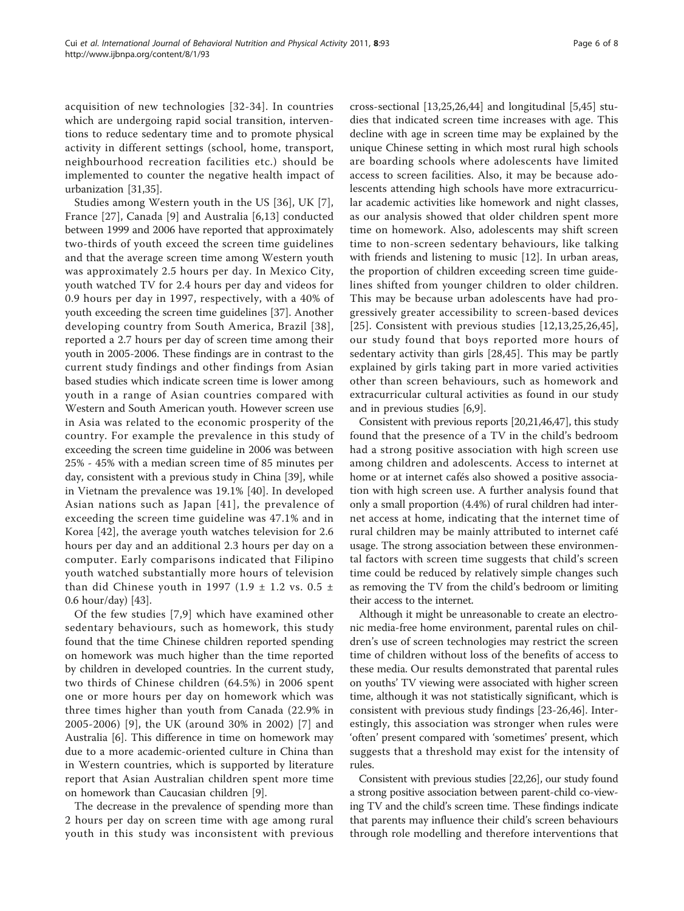acquisition of new technologies [[32-34\]](#page-7-0). In countries which are undergoing rapid social transition, interventions to reduce sedentary time and to promote physical activity in different settings (school, home, transport, neighbourhood recreation facilities etc.) should be implemented to counter the negative health impact of urbanization [\[31,35\]](#page-7-0).

Studies among Western youth in the US [[36](#page-7-0)], UK [[7](#page-6-0)], France [\[27\]](#page-7-0), Canada [[9](#page-6-0)] and Australia [[6,](#page-6-0)[13](#page-7-0)] conducted between 1999 and 2006 have reported that approximately two-thirds of youth exceed the screen time guidelines and that the average screen time among Western youth was approximately 2.5 hours per day. In Mexico City, youth watched TV for 2.4 hours per day and videos for 0.9 hours per day in 1997, respectively, with a 40% of youth exceeding the screen time guidelines [[37](#page-7-0)]. Another developing country from South America, Brazil [[38\]](#page-7-0), reported a 2.7 hours per day of screen time among their youth in 2005-2006. These findings are in contrast to the current study findings and other findings from Asian based studies which indicate screen time is lower among youth in a range of Asian countries compared with Western and South American youth. However screen use in Asia was related to the economic prosperity of the country. For example the prevalence in this study of exceeding the screen time guideline in 2006 was between 25% - 45% with a median screen time of 85 minutes per day, consistent with a previous study in China [[39\]](#page-7-0), while in Vietnam the prevalence was 19.1% [\[40](#page-7-0)]. In developed Asian nations such as Japan [[41\]](#page-7-0), the prevalence of exceeding the screen time guideline was 47.1% and in Korea [[42\]](#page-7-0), the average youth watches television for 2.6 hours per day and an additional 2.3 hours per day on a computer. Early comparisons indicated that Filipino youth watched substantially more hours of television than did Chinese youth in 1997 (1.9  $\pm$  1.2 vs. 0.5  $\pm$ 0.6 hour/day) [\[43\]](#page-7-0).

Of the few studies [\[7,9](#page-6-0)] which have examined other sedentary behaviours, such as homework, this study found that the time Chinese children reported spending on homework was much higher than the time reported by children in developed countries. In the current study, two thirds of Chinese children (64.5%) in 2006 spent one or more hours per day on homework which was three times higher than youth from Canada (22.9% in 2005-2006) [[9](#page-6-0)], the UK (around 30% in 2002) [[7](#page-6-0)] and Australia [\[6](#page-6-0)]. This difference in time on homework may due to a more academic-oriented culture in China than in Western countries, which is supported by literature report that Asian Australian children spent more time on homework than Caucasian children [[9](#page-6-0)].

The decrease in the prevalence of spending more than 2 hours per day on screen time with age among rural youth in this study was inconsistent with previous cross-sectional [[13,25,26,44](#page-7-0)] and longitudinal [[5,](#page-6-0)[45](#page-7-0)] studies that indicated screen time increases with age. This decline with age in screen time may be explained by the unique Chinese setting in which most rural high schools are boarding schools where adolescents have limited access to screen facilities. Also, it may be because adolescents attending high schools have more extracurricular academic activities like homework and night classes, as our analysis showed that older children spent more time on homework. Also, adolescents may shift screen time to non-screen sedentary behaviours, like talking with friends and listening to music [\[12](#page-6-0)]. In urban areas, the proportion of children exceeding screen time guidelines shifted from younger children to older children. This may be because urban adolescents have had progressively greater accessibility to screen-based devices [[25](#page-7-0)]. Consistent with previous studies  $[12,13,25,26,45]$  $[12,13,25,26,45]$  $[12,13,25,26,45]$  $[12,13,25,26,45]$  $[12,13,25,26,45]$  $[12,13,25,26,45]$  $[12,13,25,26,45]$ , our study found that boys reported more hours of sedentary activity than girls [[28,45](#page-7-0)]. This may be partly explained by girls taking part in more varied activities other than screen behaviours, such as homework and extracurricular cultural activities as found in our study and in previous studies [\[6,9](#page-6-0)].

Consistent with previous reports [\[20,21,46,47](#page-7-0)], this study found that the presence of a TV in the child's bedroom had a strong positive association with high screen use among children and adolescents. Access to internet at home or at internet cafés also showed a positive association with high screen use. A further analysis found that only a small proportion (4.4%) of rural children had internet access at home, indicating that the internet time of rural children may be mainly attributed to internet café usage. The strong association between these environmental factors with screen time suggests that child's screen time could be reduced by relatively simple changes such as removing the TV from the child's bedroom or limiting their access to the internet.

Although it might be unreasonable to create an electronic media-free home environment, parental rules on children's use of screen technologies may restrict the screen time of children without loss of the benefits of access to these media. Our results demonstrated that parental rules on youths' TV viewing were associated with higher screen time, although it was not statistically significant, which is consistent with previous study findings [\[23](#page-7-0)-[26,46\]](#page-7-0). Interestingly, this association was stronger when rules were 'often' present compared with 'sometimes' present, which suggests that a threshold may exist for the intensity of rules.

Consistent with previous studies [\[22,26](#page-7-0)], our study found a strong positive association between parent-child co-viewing TV and the child's screen time. These findings indicate that parents may influence their child's screen behaviours through role modelling and therefore interventions that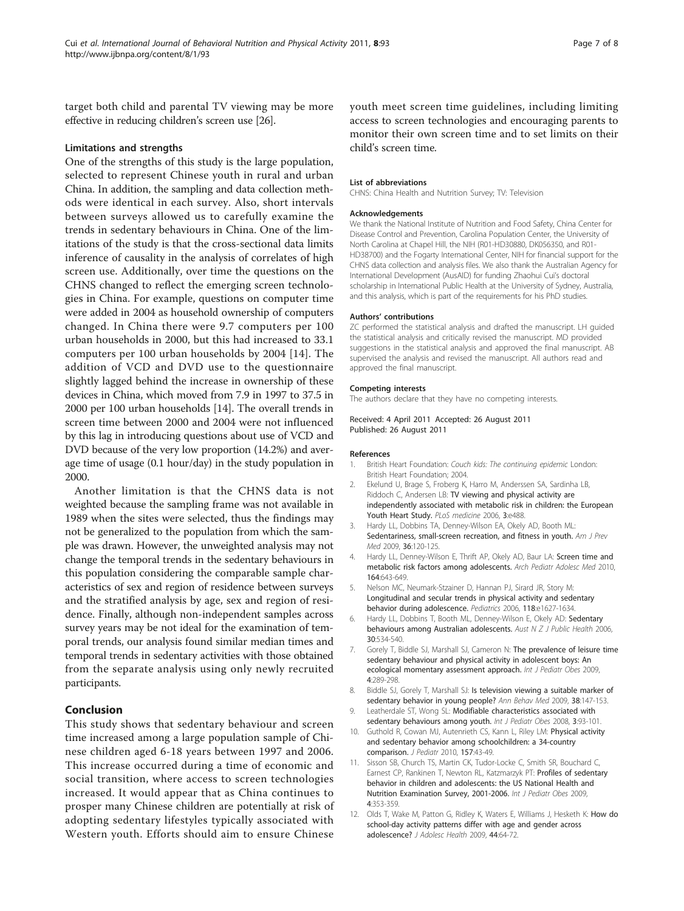<span id="page-6-0"></span>target both child and parental TV viewing may be more effective in reducing children's screen use [[26](#page-7-0)].

#### Limitations and strengths

One of the strengths of this study is the large population, selected to represent Chinese youth in rural and urban China. In addition, the sampling and data collection methods were identical in each survey. Also, short intervals between surveys allowed us to carefully examine the trends in sedentary behaviours in China. One of the limitations of the study is that the cross-sectional data limits inference of causality in the analysis of correlates of high screen use. Additionally, over time the questions on the CHNS changed to reflect the emerging screen technologies in China. For example, questions on computer time were added in 2004 as household ownership of computers changed. In China there were 9.7 computers per 100 urban households in 2000, but this had increased to 33.1 computers per 100 urban households by 2004 [\[14](#page-7-0)]. The addition of VCD and DVD use to the questionnaire slightly lagged behind the increase in ownership of these devices in China, which moved from 7.9 in 1997 to 37.5 in 2000 per 100 urban households [\[14\]](#page-7-0). The overall trends in screen time between 2000 and 2004 were not influenced by this lag in introducing questions about use of VCD and DVD because of the very low proportion (14.2%) and average time of usage (0.1 hour/day) in the study population in 2000.

Another limitation is that the CHNS data is not weighted because the sampling frame was not available in 1989 when the sites were selected, thus the findings may not be generalized to the population from which the sample was drawn. However, the unweighted analysis may not change the temporal trends in the sedentary behaviours in this population considering the comparable sample characteristics of sex and region of residence between surveys and the stratified analysis by age, sex and region of residence. Finally, although non-independent samples across survey years may be not ideal for the examination of temporal trends, our analysis found similar median times and temporal trends in sedentary activities with those obtained from the separate analysis using only newly recruited participants.

# Conclusion

This study shows that sedentary behaviour and screen time increased among a large population sample of Chinese children aged 6-18 years between 1997 and 2006. This increase occurred during a time of economic and social transition, where access to screen technologies increased. It would appear that as China continues to prosper many Chinese children are potentially at risk of adopting sedentary lifestyles typically associated with Western youth. Efforts should aim to ensure Chinese

youth meet screen time guidelines, including limiting access to screen technologies and encouraging parents to monitor their own screen time and to set limits on their child's screen time.

#### List of abbreviations

CHNS: China Health and Nutrition Survey; TV: Television

#### Acknowledgements

We thank the National Institute of Nutrition and Food Safety, China Center for Disease Control and Prevention, Carolina Population Center, the University of North Carolina at Chapel Hill, the NIH (R01-HD30880, DK056350, and R01- HD38700) and the Fogarty International Center, NIH for financial support for the CHNS data collection and analysis files. We also thank the Australian Agency for International Development (AusAID) for funding Zhaohui Cui's doctoral scholarship in International Public Health at the University of Sydney, Australia, and this analysis, which is part of the requirements for his PhD studies.

#### Authors' contributions

ZC performed the statistical analysis and drafted the manuscript. LH guided the statistical analysis and critically revised the manuscript. MD provided suggestions in the statistical analysis and approved the final manuscript. AB supervised the analysis and revised the manuscript. All authors read and approved the final manuscript.

#### Competing interests

The authors declare that they have no competing interests.

#### Received: 4 April 2011 Accepted: 26 August 2011 Published: 26 August 2011

#### References

- 1. British Heart Foundation: Couch kids: The continuing epidemic London: British Heart Foundation; 2004.
- 2. Ekelund U, Brage S, Froberg K, Harro M, Anderssen SA, Sardinha LB, Riddoch C, Andersen LB: [TV viewing and physical activity are](http://www.ncbi.nlm.nih.gov/pubmed/17194189?dopt=Abstract) [independently associated with metabolic risk in children: the European](http://www.ncbi.nlm.nih.gov/pubmed/17194189?dopt=Abstract) [Youth Heart Study.](http://www.ncbi.nlm.nih.gov/pubmed/17194189?dopt=Abstract) PLoS medicine 2006, 3:e488.
- 3. Hardy LL, Dobbins TA, Denney-Wilson EA, Okely AD, Booth ML: [Sedentariness, small-screen recreation, and fitness in youth.](http://www.ncbi.nlm.nih.gov/pubmed/19135904?dopt=Abstract) Am J Prev Med 2009, 36:120-125.
- 4. Hardy LL, Denney-Wilson E, Thrift AP, Okely AD, Baur LA: [Screen time and](http://www.ncbi.nlm.nih.gov/pubmed/20603465?dopt=Abstract) [metabolic risk factors among adolescents.](http://www.ncbi.nlm.nih.gov/pubmed/20603465?dopt=Abstract) Arch Pediatr Adolesc Med 2010, 164:643-649.
- 5. Nelson MC, Neumark-Stzainer D, Hannan PJ, Sirard JR, Story M: [Longitudinal and secular trends in physical activity and sedentary](http://www.ncbi.nlm.nih.gov/pubmed/17142492?dopt=Abstract) [behavior during adolescence.](http://www.ncbi.nlm.nih.gov/pubmed/17142492?dopt=Abstract) Pediatrics 2006, 118:e1627-1634.
- 6. Hardy LL, Dobbins T, Booth ML, Denney-Wilson E, Okely AD: [Sedentary](http://www.ncbi.nlm.nih.gov/pubmed/17209269?dopt=Abstract) [behaviours among Australian adolescents.](http://www.ncbi.nlm.nih.gov/pubmed/17209269?dopt=Abstract) Aust N Z J Public Health 2006, 30:534-540.
- 7. Gorely T, Biddle SJ, Marshall SJ, Cameron N: [The prevalence of leisure time](http://www.ncbi.nlm.nih.gov/pubmed/19922044?dopt=Abstract) [sedentary behaviour and physical activity in adolescent boys: An](http://www.ncbi.nlm.nih.gov/pubmed/19922044?dopt=Abstract) [ecological momentary assessment approach.](http://www.ncbi.nlm.nih.gov/pubmed/19922044?dopt=Abstract) Int J Pediatr Obes 2009, 4:289-298.
- 8. Biddle SJ, Gorely T, Marshall SJ: [Is television viewing a suitable marker of](http://www.ncbi.nlm.nih.gov/pubmed/19809858?dopt=Abstract) [sedentary behavior in young people?](http://www.ncbi.nlm.nih.gov/pubmed/19809858?dopt=Abstract) Ann Behav Med 2009, 38:147-153.
- 9. Leatherdale ST, Wong SL: [Modifiable characteristics associated with](http://www.ncbi.nlm.nih.gov/pubmed/18465435?dopt=Abstract) [sedentary behaviours among youth.](http://www.ncbi.nlm.nih.gov/pubmed/18465435?dopt=Abstract) Int J Pediatr Obes 2008, 3:93-101.
- 10. Guthold R, Cowan MJ, Autenrieth CS, Kann L, Riley LM: [Physical activity](http://www.ncbi.nlm.nih.gov/pubmed/20304415?dopt=Abstract) [and sedentary behavior among schoolchildren: a 34-country](http://www.ncbi.nlm.nih.gov/pubmed/20304415?dopt=Abstract) [comparison.](http://www.ncbi.nlm.nih.gov/pubmed/20304415?dopt=Abstract) J Pediatr 2010, 157:43-49.
- 11. Sisson SB, Church TS, Martin CK, Tudor-Locke C, Smith SR, Bouchard C, Earnest CP, Rankinen T, Newton RL, Katzmarzyk PT: [Profiles of sedentary](http://www.ncbi.nlm.nih.gov/pubmed/19922052?dopt=Abstract) [behavior in children and adolescents: the US National Health and](http://www.ncbi.nlm.nih.gov/pubmed/19922052?dopt=Abstract) [Nutrition Examination Survey, 2001-2006.](http://www.ncbi.nlm.nih.gov/pubmed/19922052?dopt=Abstract) Int J Pediatr Obes 2009, 4:353-359.
- 12. Olds T, Wake M, Patton G, Ridley K, Waters E, Williams J, Hesketh K: [How do](http://www.ncbi.nlm.nih.gov/pubmed/19101460?dopt=Abstract) [school-day activity patterns differ with age and gender across](http://www.ncbi.nlm.nih.gov/pubmed/19101460?dopt=Abstract) [adolescence?](http://www.ncbi.nlm.nih.gov/pubmed/19101460?dopt=Abstract) J Adolesc Health 2009, 44:64-72.